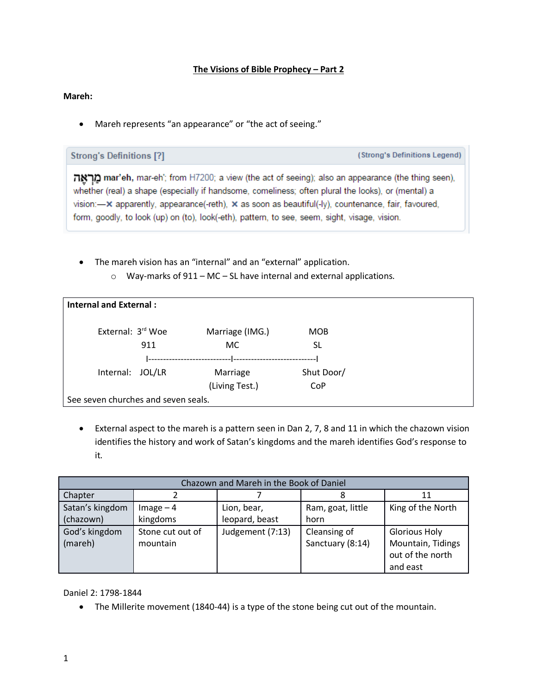## **The Visions of Bible Prophecy – Part 2**

#### **Mareh:**

• Mareh represents "an appearance" or "the act of seeing."

**Strong's Definitions [?]** 

(Strong's Definitions Legend)

מראה mar'eh, mar-eh'; from H7200; a view (the act of seeing); also an appearance (the thing seen), whether (real) a shape (especially if handsome, comeliness; often plural the looks), or (mental) a vision: $-x$  apparently, appearance(-reth),  $x$  as soon as beautiful(-ly), countenance, fair, favoured, form, goodly, to look (up) on (to), look(-eth), pattern, to see, seem, sight, visage, vision.

- The mareh vision has an "internal" and an "external" application.
	- o Way-marks of 911 MC SL have internal and external applications.

| <b>Internal and External:</b>       |                 |            |  |
|-------------------------------------|-----------------|------------|--|
| External: 3rd Woe                   | Marriage (IMG.) | <b>MOB</b> |  |
| 911                                 | <b>MC</b>       | SL         |  |
|                                     |                 |            |  |
| Internal: JOL/LR                    | Marriage        | Shut Door/ |  |
|                                     | (Living Test.)  | CoP        |  |
| See seven churches and seven seals. |                 |            |  |

• External aspect to the mareh is a pattern seen in Dan 2, 7, 8 and 11 in which the chazown vision identifies the history and work of Satan's kingdoms and the mareh identifies God's response to it.

| Chazown and Mareh in the Book of Daniel |                  |                  |                   |                      |
|-----------------------------------------|------------------|------------------|-------------------|----------------------|
| Chapter                                 |                  |                  |                   |                      |
| Satan's kingdom                         | $Image - 4$      | Lion, bear,      | Ram, goat, little | King of the North    |
| (chazown)                               | kingdoms         | leopard, beast   | horn              |                      |
| God's kingdom                           | Stone cut out of | Judgement (7:13) | Cleansing of      | <b>Glorious Holy</b> |
| (mareh)                                 | mountain         |                  | Sanctuary (8:14)  | Mountain, Tidings    |
|                                         |                  |                  |                   | out of the north     |
|                                         |                  |                  |                   | and east             |

Daniel 2: 1798-1844

• The Millerite movement (1840-44) is a type of the stone being cut out of the mountain.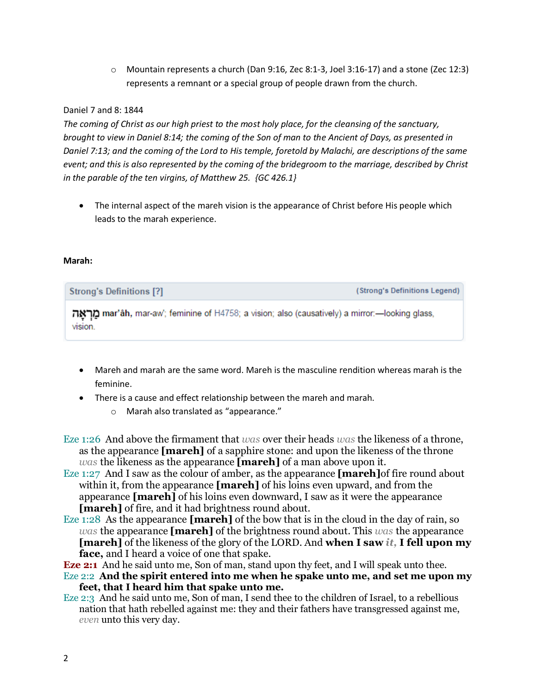o Mountain represents a church (Dan 9:16, Zec 8:1-3, Joel 3:16-17) and a stone (Zec 12:3) represents a remnant or a special group of people drawn from the church.

## Daniel 7 and 8: 1844

*The coming of Christ as our high priest to the most holy place, for the cleansing of the sanctuary, brought to view in Daniel 8:14; the coming of the Son of man to the Ancient of Days, as presented in Daniel 7:13; and the coming of the Lord to His temple, foretold by Malachi, are descriptions of the same event; and this is also represented by the coming of the bridegroom to the marriage, described by Christ in the parable of the ten virgins, of Matthew 25. {GC 426.1}* 

• The internal aspect of the mareh vision is the appearance of Christ before His people which leads to the marah experience.

#### **Marah:**

| <b>Strong's Definitions [?]</b>                                                                           | (Strong's Definitions Legend) |
|-----------------------------------------------------------------------------------------------------------|-------------------------------|
| מראה mar'âh, mar-aw'; feminine of H4758; a vision; also (causatively) a mirror:—looking glass,<br>VISION. |                               |

- Mareh and marah are the same word. Mareh is the masculine rendition whereas marah is the feminine.
- There is a cause and effect relationship between the mareh and marah.
	- o Marah also translated as "appearance."
- Eze 1:26 And above the firmament that *was* over their heads *was* the likeness of a throne, as the appearance **[mareh]** of a sapphire stone: and upon the likeness of the throne *was* the likeness as the appearance **[mareh]** of a man above upon it.
- Eze 1:27 And I saw as the colour of amber, as the appearance **[mareh]**of fire round about within it, from the appearance **[mareh]** of his loins even upward, and from the appearance **[mareh]** of his loins even downward, I saw as it were the appearance **[mareh]** of fire, and it had brightness round about.
- Eze 1:28 As the appearance **[mareh]** of the bow that is in the cloud in the day of rain, so *was* the appearance **[mareh]** of the brightness round about. This *was* the appearance **[mareh]** of the likeness of the glory of the LORD. And **when I saw** *it,* **I fell upon my face,** and I heard a voice of one that spake.
- **Eze 2:1** And he said unto me, Son of man, stand upon thy feet, and I will speak unto thee.
- Eze 2:2 **And the spirit entered into me when he spake unto me, and set me upon my feet, that I heard him that spake unto me.**
- Eze 2:3 And he said unto me, Son of man, I send thee to the children of Israel, to a rebellious nation that hath rebelled against me: they and their fathers have transgressed against me, *even* unto this very day.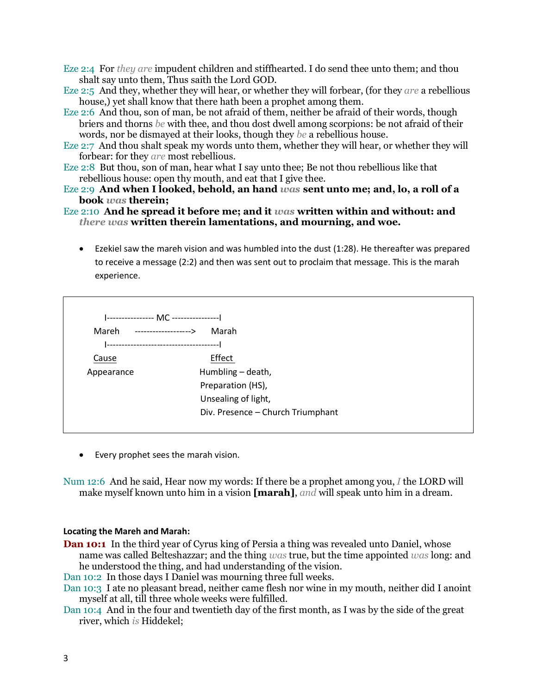- Eze 2:4 For *they are* impudent children and stiffhearted. I do send thee unto them; and thou shalt say unto them, Thus saith the Lord GOD.
- Eze 2:5 And they, whether they will hear, or whether they will forbear, (for they *are* a rebellious house,) yet shall know that there hath been a prophet among them.
- Eze 2:6 And thou, son of man, be not afraid of them, neither be afraid of their words, though briers and thorns *be* with thee, and thou dost dwell among scorpions: be not afraid of their words, nor be dismayed at their looks, though they *be* a rebellious house.
- Eze 2:7 And thou shalt speak my words unto them, whether they will hear, or whether they will forbear: for they *are* most rebellious.
- Eze 2:8 But thou, son of man, hear what I say unto thee; Be not thou rebellious like that rebellious house: open thy mouth, and eat that I give thee.
- Eze 2:9 **And when I looked, behold, an hand** *was* **sent unto me; and, lo, a roll of a book** *was* **therein;**

## Eze 2:10 **And he spread it before me; and it** *was* **written within and without: and**  *there was* **written therein lamentations, and mourning, and woe.**

• Ezekiel saw the mareh vision and was humbled into the dust (1:28). He thereafter was prepared to receive a message (2:2) and then was sent out to proclaim that message. This is the marah experience.

| --------------- MC --------------- |                                   |
|------------------------------------|-----------------------------------|
| Mareh<br>-------------------->     | Marah                             |
|                                    | --------------------------------- |
| Cause                              | Effect                            |
| Appearance                         | Humbling - death,                 |
|                                    | Preparation (HS),                 |
|                                    | Unsealing of light,               |
|                                    | Div. Presence - Church Triumphant |

• Every prophet sees the marah vision.

Num 12:6 And he said, Hear now my words: If there be a prophet among you, *I* the LORD will make myself known unto him in a vision **[marah]**, *and* will speak unto him in a dream.

#### **Locating the Mareh and Marah:**

**Dan 10:1** In the third year of Cyrus king of Persia a thing was revealed unto Daniel, whose name was called Belteshazzar; and the thing *was* true, but the time appointed *was* long: and he understood the thing, and had understanding of the vision.

Dan 10:2 In those days I Daniel was mourning three full weeks.

- Dan 10:3 I ate no pleasant bread, neither came flesh nor wine in my mouth, neither did I anoint myself at all, till three whole weeks were fulfilled.
- Dan 10:4 And in the four and twentieth day of the first month, as I was by the side of the great river, which *is* Hiddekel;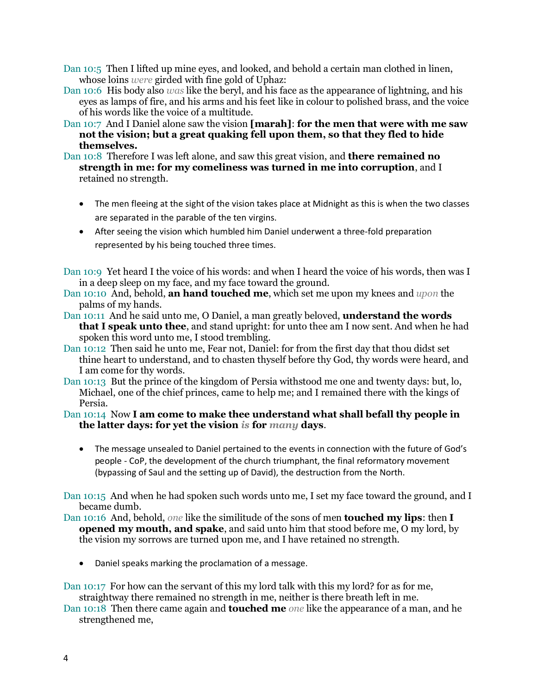Dan 10:5 Then I lifted up mine eyes, and looked, and behold a certain man clothed in linen, whose loins *were* girded with fine gold of Uphaz:

- Dan 10:6 His body also *was* like the beryl, and his face as the appearance of lightning, and his eyes as lamps of fire, and his arms and his feet like in colour to polished brass, and the voice of his words like the voice of a multitude.
- Dan 10:7 And I Daniel alone saw the vision **[marah]**: **for the men that were with me saw not the vision; but a great quaking fell upon them, so that they fled to hide themselves.**
- Dan 10:8 Therefore I was left alone, and saw this great vision, and **there remained no strength in me: for my comeliness was turned in me into corruption**, and I retained no strength.
	- The men fleeing at the sight of the vision takes place at Midnight as this is when the two classes are separated in the parable of the ten virgins.
	- After seeing the vision which humbled him Daniel underwent a three-fold preparation represented by his being touched three times.
- Dan 10:9 Yet heard I the voice of his words: and when I heard the voice of his words, then was I in a deep sleep on my face, and my face toward the ground.
- Dan 10:10 And, behold, **an hand touched me**, which set me upon my knees and *upon* the palms of my hands.
- Dan 10:11 And he said unto me, O Daniel, a man greatly beloved, **understand the words that I speak unto thee**, and stand upright: for unto thee am I now sent. And when he had spoken this word unto me, I stood trembling.
- Dan 10:12 Then said he unto me, Fear not, Daniel: for from the first day that thou didst set thine heart to understand, and to chasten thyself before thy God, thy words were heard, and I am come for thy words.
- Dan 10:13 But the prince of the kingdom of Persia withstood me one and twenty days: but, lo, Michael, one of the chief princes, came to help me; and I remained there with the kings of Persia.

# Dan 10:14 Now **I am come to make thee understand what shall befall thy people in the latter days: for yet the vision** *is* **for** *many* **days**.

• The message unsealed to Daniel pertained to the events in connection with the future of God's people - CoP, the development of the church triumphant, the final reformatory movement (bypassing of Saul and the setting up of David), the destruction from the North.

Dan 10:15 And when he had spoken such words unto me, I set my face toward the ground, and I became dumb.

- Dan 10:16 And, behold, *one* like the similitude of the sons of men **touched my lips**: then **I opened my mouth, and spake**, and said unto him that stood before me, O my lord, by the vision my sorrows are turned upon me, and I have retained no strength.
	- Daniel speaks marking the proclamation of a message.

Dan 10:17 For how can the servant of this my lord talk with this my lord? for as for me, straightway there remained no strength in me, neither is there breath left in me.

Dan 10:18 Then there came again and **touched me** *one* like the appearance of a man, and he strengthened me,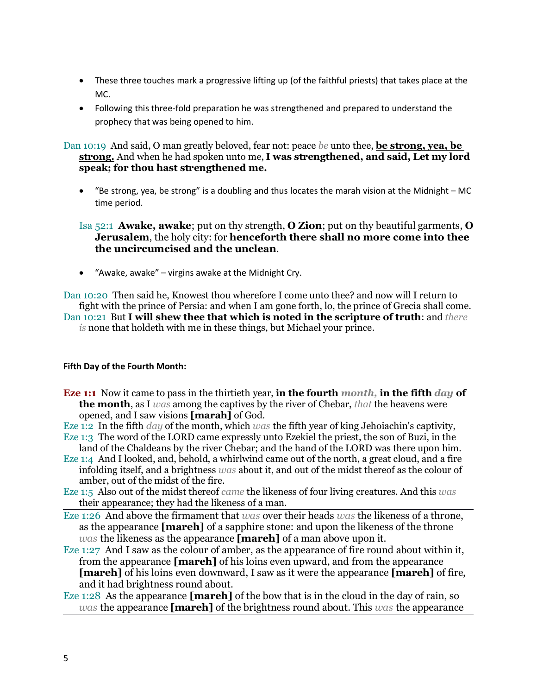- These three touches mark a progressive lifting up (of the faithful priests) that takes place at the MC.
- Following this three-fold preparation he was strengthened and prepared to understand the prophecy that was being opened to him.

Dan 10:19 And said, O man greatly beloved, fear not: peace *be* unto thee, **be strong, yea, be strong.** And when he had spoken unto me, **I was strengthened, and said, Let my lord speak; for thou hast strengthened me.** 

• "Be strong, yea, be strong" is a doubling and thus locates the marah vision at the Midnight – MC time period.

Isa 52:1 **Awake, awake**; put on thy strength, **O Zion**; put on thy beautiful garments, **O Jerusalem**, the holy city: for **henceforth there shall no more come into thee the uncircumcised and the unclean**.

• "Awake, awake" – virgins awake at the Midnight Cry.

Dan 10:20 Then said he, Knowest thou wherefore I come unto thee? and now will I return to fight with the prince of Persia: and when I am gone forth, lo, the prince of Grecia shall come. Dan 10:21 But **I will shew thee that which is noted in the scripture of truth**: and *there is* none that holdeth with me in these things, but Michael your prince.

# **Fifth Day of the Fourth Month:**

- **Eze 1:1** Now it came to pass in the thirtieth year, **in the fourth** *month,* **in the fifth** *day* **of the month**, as I *was* among the captives by the river of Chebar, *that* the heavens were opened, and I saw visions **[marah]** of God.
- Eze 1:2 In the fifth *day* of the month, which *was* the fifth year of king Jehoiachin's captivity,
- Eze 1:3 The word of the LORD came expressly unto Ezekiel the priest, the son of Buzi, in the land of the Chaldeans by the river Chebar; and the hand of the LORD was there upon him.
- Eze 1:4 And I looked, and, behold, a whirlwind came out of the north, a great cloud, and a fire infolding itself, and a brightness *was* about it, and out of the midst thereof as the colour of amber, out of the midst of the fire.
- Eze 1:5 Also out of the midst thereof *came* the likeness of four living creatures. And this *was* their appearance; they had the likeness of a man.
- Eze 1:26 And above the firmament that *was* over their heads *was* the likeness of a throne, as the appearance **[mareh]** of a sapphire stone: and upon the likeness of the throne *was* the likeness as the appearance **[mareh]** of a man above upon it.
- Eze 1:27 And I saw as the colour of amber, as the appearance of fire round about within it, from the appearance **[mareh]** of his loins even upward, and from the appearance **[mareh]** of his loins even downward, I saw as it were the appearance **[mareh]** of fire, and it had brightness round about.
- Eze 1:28 As the appearance **[mareh]** of the bow that is in the cloud in the day of rain, so *was* the appearance **[mareh]** of the brightness round about. This *was* the appearance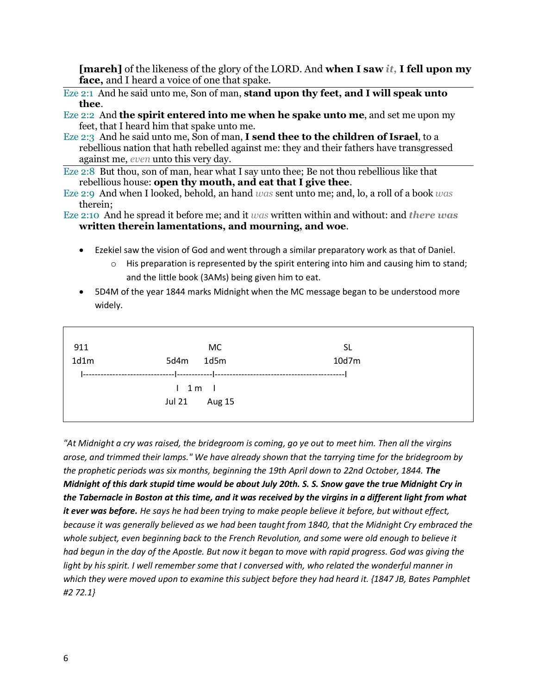**[mareh]** of the likeness of the glory of the LORD. And **when I saw** *it,* **I fell upon my face,** and I heard a voice of one that spake.

- Eze 2:1 And he said unto me, Son of man, **stand upon thy feet, and I will speak unto thee**.
- Eze 2:2 And **the spirit entered into me when he spake unto me**, and set me upon my feet, that I heard him that spake unto me.
- Eze 2:3 And he said unto me, Son of man, **I send thee to the children of Israel**, to a rebellious nation that hath rebelled against me: they and their fathers have transgressed against me, *even* unto this very day.

Eze 2:8 But thou, son of man, hear what I say unto thee; Be not thou rebellious like that rebellious house: **open thy mouth, and eat that I give thee**.

Eze 2:9 And when I looked, behold, an hand *was* sent unto me; and, lo, a roll of a book *was* therein;

Eze 2:10 And he spread it before me; and it *was* written within and without: and *there was* **written therein lamentations, and mourning, and woe**.

- Ezekiel saw the vision of God and went through a similar preparatory work as that of Daniel.
	- $\circ$  His preparation is represented by the spirit entering into him and causing him to stand; and the little book (3AMs) being given him to eat.
- 5D4M of the year 1844 marks Midnight when the MC message began to be understood more widely.

| 911  | МC                      | <b>SL</b> |  |
|------|-------------------------|-----------|--|
| 1d1m | 1d5m<br>5d4m            | 10d7m     |  |
|      |                         |           |  |
|      |                         |           |  |
|      | $1 \t1m$                |           |  |
|      | <b>Jul 21</b><br>Aug 15 |           |  |
|      |                         |           |  |

*"At Midnight a cry was raised, the bridegroom is coming, go ye out to meet him. Then all the virgins arose, and trimmed their lamps." We have already shown that the tarrying time for the bridegroom by the prophetic periods was six months, beginning the 19th April down to 22nd October, 1844. The Midnight of this dark stupid time would be about July 20th. S. S. Snow gave the true Midnight Cry in the Tabernacle in Boston at this time, and it was received by the virgins in a different light from what it ever was before. He says he had been trying to make people believe it before, but without effect, because it was generally believed as we had been taught from 1840, that the Midnight Cry embraced the whole subject, even beginning back to the French Revolution, and some were old enough to believe it had begun in the day of the Apostle. But now it began to move with rapid progress. God was giving the*  light by his spirit. I well remember some that I conversed with, who related the wonderful manner in *which they were moved upon to examine this subject before they had heard it. {1847 JB, Bates Pamphlet #2 72.1}*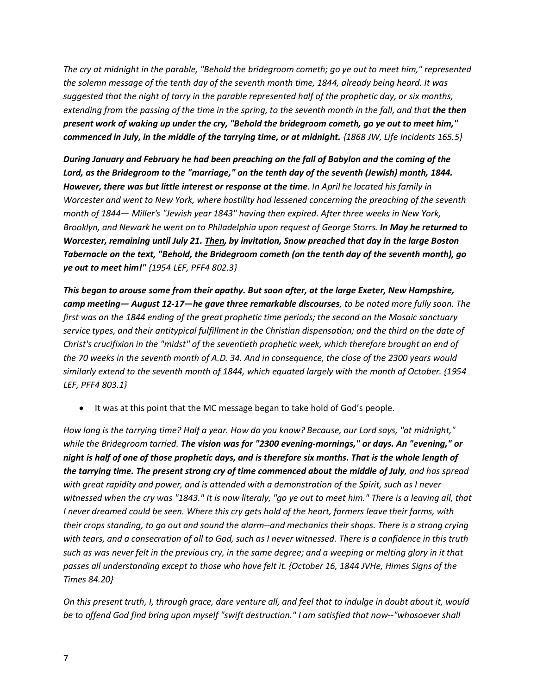*The cry at midnight in the parable, "Behold the bridegroom cometh; go ye out to meet him," represented the solemn message of the tenth day of the seventh month time, 1844, already being heard. It was suggested that the night of tarry in the parable represented half of the prophetic day, or six months, extending from the passing of the time in the spring, to the seventh month in the fall, and that the then present work of waking up under the cry, "Behold the bridegroom cometh, go ye out to meet him," commenced in July, in the middle of the tarrying time, or at midnight. {1868 JW, Life Incidents 165.5}*

*During January and February he had been preaching on the fall of Babylon and the coming of the*  Lord, as the Bridegroom to the "marriage," on the tenth day of the seventh (Jewish) month, 1844. *However, there was but little interest or response at the time. In April he located his family in Worcester and went to New York, where hostility had lessened concerning the preaching of the seventh month of 1844— Miller's "Jewish year 1843" having then expired. After three weeks in New York, Brooklyn, and Newark he went on to Philadelphia upon request of George Storrs. In May he returned to Worcester, remaining until July 21. Then, by invitation, Snow preached that day in the large Boston Tabernacle on the text, "Behold, the Bridegroom cometh (on the tenth day of the seventh month), go ye out to meet him!" {1954 LEF, PFF4 802.3}* 

*This began to arouse some from their apathy. But soon after, at the large Exeter, New Hampshire, camp meeting— August 12-17—he gave three remarkable discourses, to be noted more fully soon. The first was on the 1844 ending of the great prophetic time periods; the second on the Mosaic sanctuary service types, and their antitypical fulfillment in the Christian dispensation; and the third on the date of Christ's crucifixion in the "midst" of the seventieth prophetic week, which therefore brought an end of the 70 weeks in the seventh month of A.D. 34. And in consequence, the close of the 2300 years would similarly extend to the seventh month of 1844, which equated largely with the month of October. {1954 LEF, PFF4 803.1}*

• It was at this point that the MC message began to take hold of God's people.

*How long is the tarrying time? Half a year. How do you know? Because, our Lord says, "at midnight," while the Bridegroom tarried. The vision was for "2300 evening-mornings," or days. An "evening," or night is half of one of those prophetic days, and is therefore six months. That is the whole length of the tarrying time. The present strong cry of time commenced about the middle of July, and has spread with great rapidity and power, and is attended with a demonstration of the Spirit, such as I never witnessed when the cry was "1843." It is now literaly, "go ye out to meet him." There is a leaving all, that I never dreamed could be seen. Where this cry gets hold of the heart, farmers leave their farms, with their crops standing, to go out and sound the alarm--and mechanics their shops. There is a strong crying with tears, and a consecration of all to God, such as I never witnessed. There is a confidence in this truth such as was never felt in the previous cry, in the same degree; and a weeping or melting glory in it that passes all understanding except to those who have felt it. {October 16, 1844 JVHe, Himes Signs of the Times 84.20}* 

*On this present truth, I, through grace, dare venture all, and feel that to indulge in doubt about it, would be to offend God find bring upon myself "swift destruction." I am satisfied that now--"whosoever shall*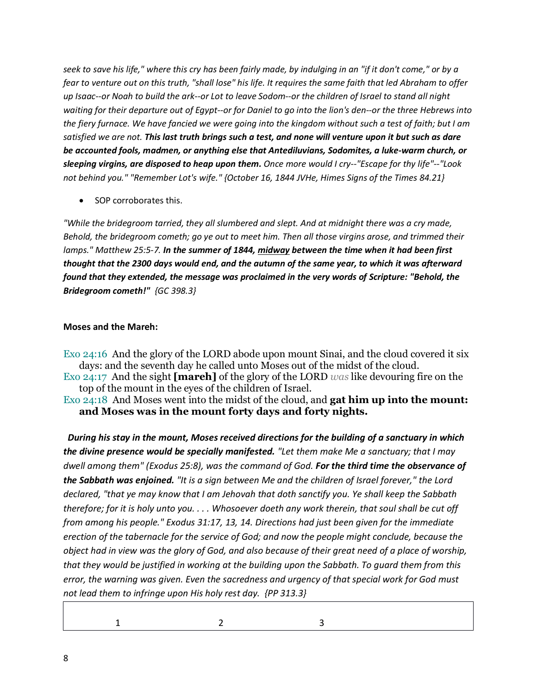*seek to save his life," where this cry has been fairly made, by indulging in an "if it don't come," or by a fear to venture out on this truth, "shall lose" his life. It requires the same faith that led Abraham to offer up Isaac--or Noah to build the ark--or Lot to leave Sodom--or the children of Israel to stand all night waiting for their departure out of Egypt--or for Daniel to go into the lion's den--or the three Hebrews into the fiery furnace. We have fancied we were going into the kingdom without such a test of faith; but I am satisfied we are not. This last truth brings such a test, and none will venture upon it but such as dare be accounted fools, madmen, or anything else that Antediluvians, Sodomites, a luke-warm church, or sleeping virgins, are disposed to heap upon them. Once more would I cry--"Escape for thy life"--"Look not behind you." "Remember Lot's wife." {October 16, 1844 JVHe, Himes Signs of the Times 84.21}*

• SOP corroborates this.

*"While the bridegroom tarried, they all slumbered and slept. And at midnight there was a cry made, Behold, the bridegroom cometh; go ye out to meet him. Then all those virgins arose, and trimmed their lamps." Matthew 25:5-7. In the summer of 1844, midway between the time when it had been first thought that the 2300 days would end, and the autumn of the same year, to which it was afterward found that they extended, the message was proclaimed in the very words of Scripture: "Behold, the Bridegroom cometh!" {GC 398.3}* 

# **Moses and the Mareh:**

Exo 24:16 And the glory of the LORD abode upon mount Sinai, and the cloud covered it six days: and the seventh day he called unto Moses out of the midst of the cloud.

Exo 24:17 And the sight **[mareh]** of the glory of the LORD *was* like devouring fire on the top of the mount in the eyes of the children of Israel.

Exo 24:18 And Moses went into the midst of the cloud, and **gat him up into the mount: and Moses was in the mount forty days and forty nights.** 

 *During his stay in the mount, Moses received directions for the building of a sanctuary in which the divine presence would be specially manifested. "Let them make Me a sanctuary; that I may dwell among them" (Exodus 25:8), was the command of God. For the third time the observance of the Sabbath was enjoined. "It is a sign between Me and the children of Israel forever," the Lord declared, "that ye may know that I am Jehovah that doth sanctify you. Ye shall keep the Sabbath therefore; for it is holy unto you. . . . Whosoever doeth any work therein, that soul shall be cut off from among his people." Exodus 31:17, 13, 14. Directions had just been given for the immediate erection of the tabernacle for the service of God; and now the people might conclude, because the object had in view was the glory of God, and also because of their great need of a place of worship, that they would be justified in working at the building upon the Sabbath. To guard them from this error, the warning was given. Even the sacredness and urgency of that special work for God must not lead them to infringe upon His holy rest day. {PP 313.3}* 

1 2 3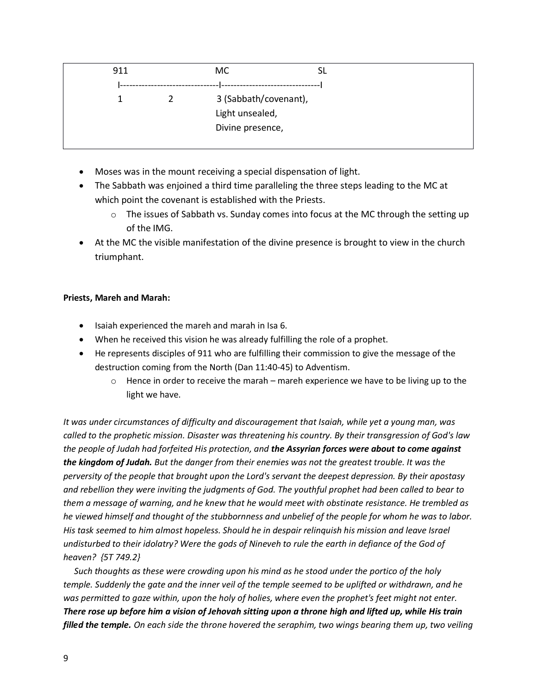| 911 | <b>MC</b>        |                       |  |
|-----|------------------|-----------------------|--|
|     |                  |                       |  |
|     |                  | 3 (Sabbath/covenant), |  |
|     | Light unsealed,  |                       |  |
|     | Divine presence, |                       |  |
|     |                  |                       |  |

- Moses was in the mount receiving a special dispensation of light.
- The Sabbath was enjoined a third time paralleling the three steps leading to the MC at which point the covenant is established with the Priests.
	- $\circ$  The issues of Sabbath vs. Sunday comes into focus at the MC through the setting up of the IMG.
- At the MC the visible manifestation of the divine presence is brought to view in the church triumphant.

## **Priests, Mareh and Marah:**

- Isaiah experienced the mareh and marah in Isa 6.
- When he received this vision he was already fulfilling the role of a prophet.
- He represents disciples of 911 who are fulfilling their commission to give the message of the destruction coming from the North (Dan 11:40-45) to Adventism.
	- $\circ$  Hence in order to receive the marah mareh experience we have to be living up to the light we have.

*It was under circumstances of difficulty and discouragement that Isaiah, while yet a young man, was called to the prophetic mission. Disaster was threatening his country. By their transgression of God's law the people of Judah had forfeited His protection, and the Assyrian forces were about to come against the kingdom of Judah. But the danger from their enemies was not the greatest trouble. It was the perversity of the people that brought upon the Lord's servant the deepest depression. By their apostasy and rebellion they were inviting the judgments of God. The youthful prophet had been called to bear to them a message of warning, and he knew that he would meet with obstinate resistance. He trembled as he viewed himself and thought of the stubbornness and unbelief of the people for whom he was to labor. His task seemed to him almost hopeless. Should he in despair relinquish his mission and leave Israel undisturbed to their idolatry? Were the gods of Nineveh to rule the earth in defiance of the God of heaven? {5T 749.2}* 

 *Such thoughts as these were crowding upon his mind as he stood under the portico of the holy temple. Suddenly the gate and the inner veil of the temple seemed to be uplifted or withdrawn, and he was permitted to gaze within, upon the holy of holies, where even the prophet's feet might not enter. There rose up before him a vision of Jehovah sitting upon a throne high and lifted up, while His train filled the temple. On each side the throne hovered the seraphim, two wings bearing them up, two veiling*